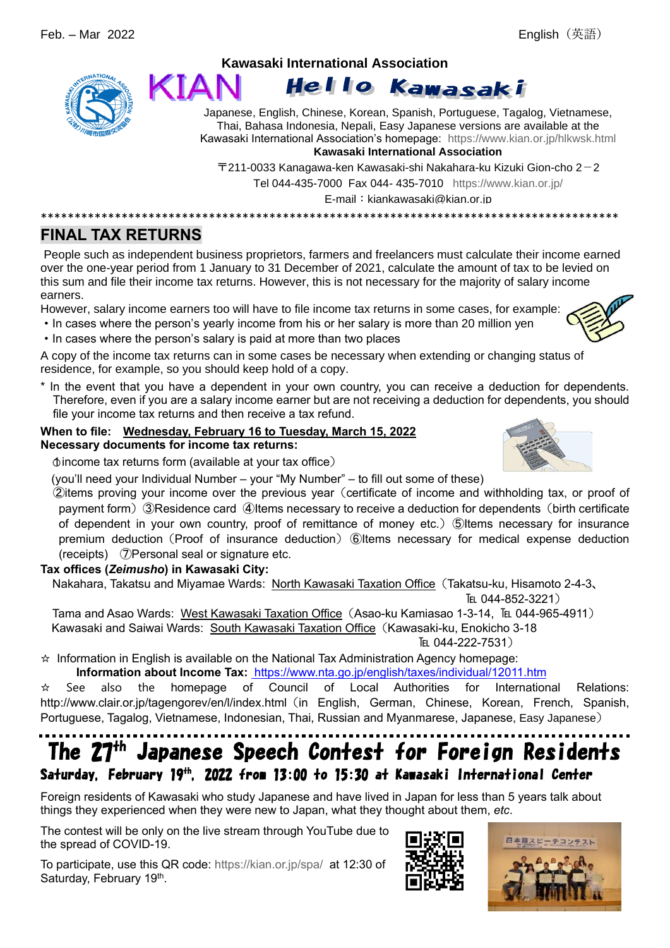

#### **Kawasaki International Association** KIAI Hello Kawasaki

Japanese, English, Chinese, Korean, Spanish, Portuguese, Tagalog, Vietnamese, Thai, Bahasa Indonesia, Nepali, Easy Japanese versions are available at the Kawasaki International Association's homepage: <https://www.kian.or.jp/hlkwsk.html>

**Kawasaki International Association**

 $\overline{T}$ 211-0033 Kanagawa-ken Kawasaki-shi Nakahara-ku Kizuki Gion-cho 2-2

Tel 044-435-7000 Fax 044- 435-7010 <https://www.kian.or.jp/>

E-mail: kiankawasaki@kian.or.jp

\*\*\*\*\*\*\*\*\*\*\*\*\*\*\*\*\*\*\*\*\*\*\*\*\*\*\*\*\*\*\*\*\*\*\*\*\*\*\*\*\*\*\*\*\*\*\*\*\*\*\*\*\*\*\*\*\*\*\*\*\*\*\*\*\*\*\*\*\*\*\*\*\*\*\*\*\*\*\*\*\*\*\*\*\*\*

# **FINAL TAX RETURNS**

People such as independent business proprietors, farmers and freelancers must calculate their income earned over the one-year period from 1 January to 31 December of 2021, calculate the amount of tax to be levied on this sum and file their income tax returns. However, this is not necessary for the majority of salary income earners.

However, salary income earners too will have to file income tax returns in some cases, for example:

- ・In cases where the person's yearly income from his or her salary is more than 20 million yen
- ・In cases where the person's salary is paid at more than two places

A copy of the income tax returns can in some cases be necessary when extending or changing status of residence, for example, so you should keep hold of a copy.

\* In the event that you have a dependent in your own country, you can receive a deduction for dependents. Therefore, even if you are a salary income earner but are not receiving a deduction for dependents, you should file your income tax returns and then receive a tax refund.

### **When to file: Wednesday, February 16 to Tuesday, March 15, 2022 Necessary documents for income tax returns:**

 $\phi$  income tax returns form (available at your tax office)

(you'll need your Individual Number – your "My Number" – to fill out some of these)

②items proving your income over the previous year(certificate of income and withholding tax, or proof of payment form) ③Residence card ④Items necessary to receive a deduction for dependents (birth certificate of dependent in your own country, proof of remittance of money etc.) ⑤Items necessary for insurance premium deduction (Proof of insurance deduction) ⑥Items necessary for medical expense deduction (receipts) ⑦Personal seal or signature etc.

## **Tax offices (***Zeimusho***) in Kawasaki City:**

Nakahara, Takatsu and Miyamae Wards: North Kawasaki Taxation Office(Takatsu-ku, Hisamoto 2-4-3、

TEL 044-852-3221)

Tama and Asao Wards: West Kawasaki Taxation Office (Asao-ku Kamiasao 1-3-14, TEL 044-965-4911) Kawasaki and Saiwai Wards: South Kawasaki Taxation Office (Kawasaki-ku, Enokicho 3-18 TEL 044-222-7531)

☆ Information in English is available on the National Tax Administration Agency homepage:

**Information about Income Tax:** <https://www.nta.go.jp/english/taxes/individual/12011.htm>

☆ See also the homepage of Council of Local Authorities for International Relations: http://www.clair.or.jp/tagengorev/en/l/index.html (in English, German, Chinese, Korean, French, Spanish, Portuguese, Tagalog, Vietnamese, Indonesian, Thai, Russian and Myanmarese, Japanese, Easy Japanese)

# The 27<sup>th</sup> Japanese Speech Contest for Foreign Residents Saturday, February 19<sup>th</sup>, 2022 from 13:00 to 15:30 at Kawasaki International Center

Foreign residents of Kawasaki who study Japanese and have lived in Japan for less than 5 years talk about things they experienced when they were new to Japan, what they thought about them, *etc*.

The contest will be only on the live stream through YouTube due to the spread of COVID-19.

To participate, use this QR code: <https://kian.or.jp/spa/>at 12:30 of Saturday, February 19<sup>th</sup>.